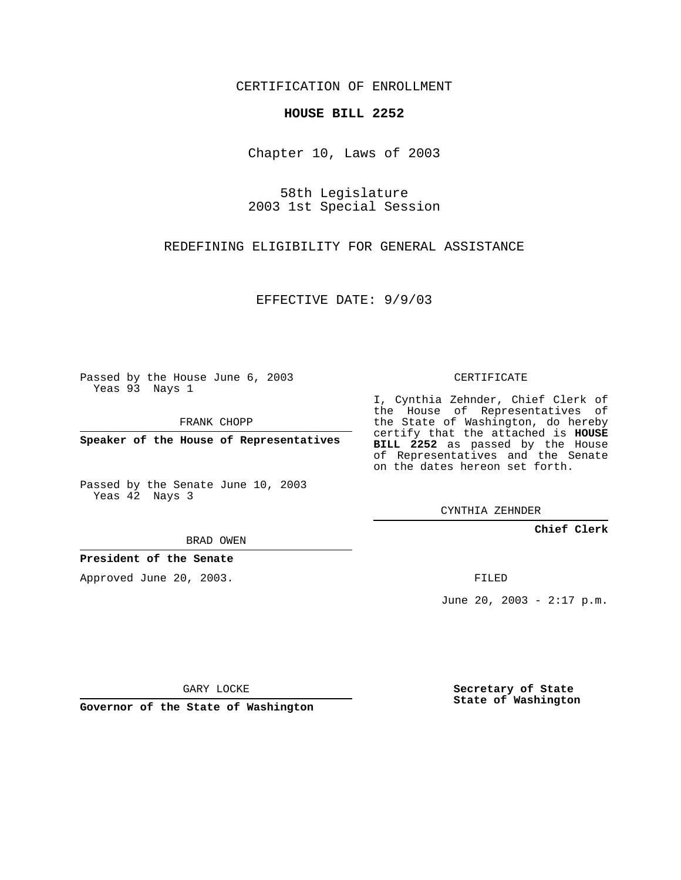CERTIFICATION OF ENROLLMENT

## **HOUSE BILL 2252**

Chapter 10, Laws of 2003

58th Legislature 2003 1st Special Session

REDEFINING ELIGIBILITY FOR GENERAL ASSISTANCE

EFFECTIVE DATE: 9/9/03

Passed by the House June 6, 2003 Yeas 93 Nays 1

FRANK CHOPP

**Speaker of the House of Representatives**

Passed by the Senate June 10, 2003 Yeas 42 Nays 3

BRAD OWEN

**President of the Senate**

Approved June 20, 2003.

CERTIFICATE

I, Cynthia Zehnder, Chief Clerk of the House of Representatives of the State of Washington, do hereby certify that the attached is **HOUSE BILL 2252** as passed by the House of Representatives and the Senate on the dates hereon set forth.

CYNTHIA ZEHNDER

**Chief Clerk**

FILED

June 20, 2003 - 2:17 p.m.

GARY LOCKE

**Governor of the State of Washington**

**Secretary of State State of Washington**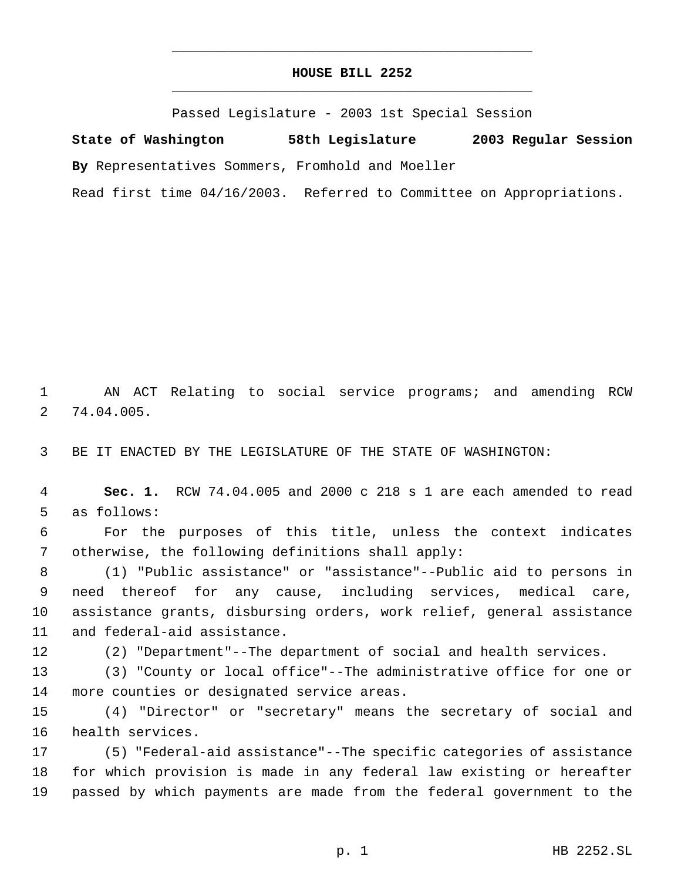## **HOUSE BILL 2252** \_\_\_\_\_\_\_\_\_\_\_\_\_\_\_\_\_\_\_\_\_\_\_\_\_\_\_\_\_\_\_\_\_\_\_\_\_\_\_\_\_\_\_\_\_

\_\_\_\_\_\_\_\_\_\_\_\_\_\_\_\_\_\_\_\_\_\_\_\_\_\_\_\_\_\_\_\_\_\_\_\_\_\_\_\_\_\_\_\_\_

Passed Legislature - 2003 1st Special Session

**State of Washington 58th Legislature 2003 Regular Session By** Representatives Sommers, Fromhold and Moeller

Read first time 04/16/2003. Referred to Committee on Appropriations.

 AN ACT Relating to social service programs; and amending RCW 74.04.005.

BE IT ENACTED BY THE LEGISLATURE OF THE STATE OF WASHINGTON:

 **Sec. 1.** RCW 74.04.005 and 2000 c 218 s 1 are each amended to read as follows:

 For the purposes of this title, unless the context indicates otherwise, the following definitions shall apply:

 (1) "Public assistance" or "assistance"--Public aid to persons in need thereof for any cause, including services, medical care, assistance grants, disbursing orders, work relief, general assistance and federal-aid assistance.

(2) "Department"--The department of social and health services.

 (3) "County or local office"--The administrative office for one or more counties or designated service areas.

 (4) "Director" or "secretary" means the secretary of social and health services.

 (5) "Federal-aid assistance"--The specific categories of assistance for which provision is made in any federal law existing or hereafter passed by which payments are made from the federal government to the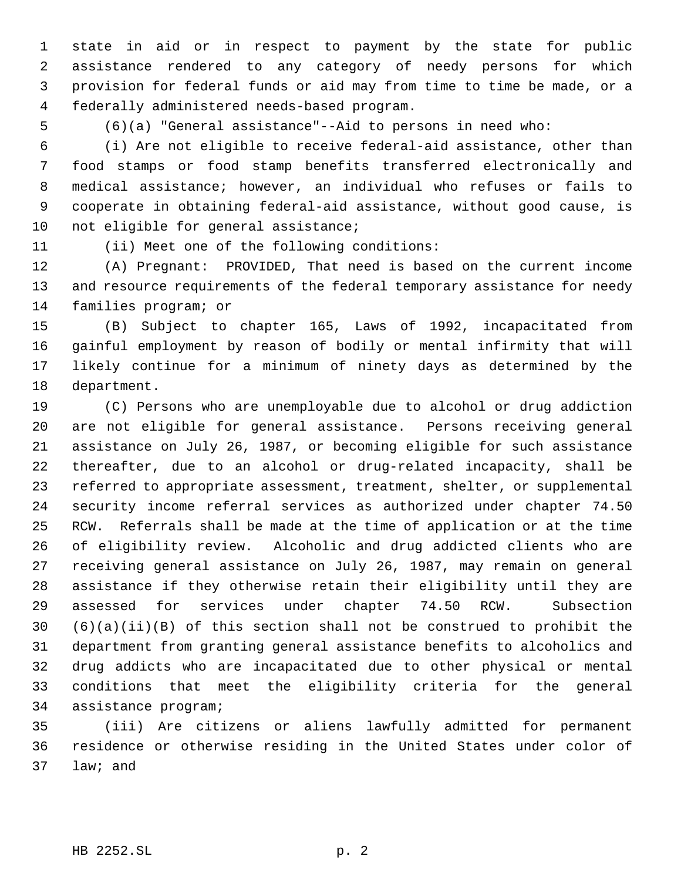state in aid or in respect to payment by the state for public assistance rendered to any category of needy persons for which provision for federal funds or aid may from time to time be made, or a federally administered needs-based program.

(6)(a) "General assistance"--Aid to persons in need who:

 (i) Are not eligible to receive federal-aid assistance, other than food stamps or food stamp benefits transferred electronically and medical assistance; however, an individual who refuses or fails to cooperate in obtaining federal-aid assistance, without good cause, is 10 not eligible for general assistance;

(ii) Meet one of the following conditions:

 (A) Pregnant: PROVIDED, That need is based on the current income and resource requirements of the federal temporary assistance for needy families program; or

 (B) Subject to chapter 165, Laws of 1992, incapacitated from gainful employment by reason of bodily or mental infirmity that will likely continue for a minimum of ninety days as determined by the department.

 (C) Persons who are unemployable due to alcohol or drug addiction are not eligible for general assistance. Persons receiving general assistance on July 26, 1987, or becoming eligible for such assistance thereafter, due to an alcohol or drug-related incapacity, shall be referred to appropriate assessment, treatment, shelter, or supplemental security income referral services as authorized under chapter 74.50 RCW. Referrals shall be made at the time of application or at the time of eligibility review. Alcoholic and drug addicted clients who are receiving general assistance on July 26, 1987, may remain on general assistance if they otherwise retain their eligibility until they are assessed for services under chapter 74.50 RCW. Subsection  $(6)(a)(ii)(B)$  of this section shall not be construed to prohibit the department from granting general assistance benefits to alcoholics and drug addicts who are incapacitated due to other physical or mental conditions that meet the eligibility criteria for the general assistance program;

 (iii) Are citizens or aliens lawfully admitted for permanent residence or otherwise residing in the United States under color of law; and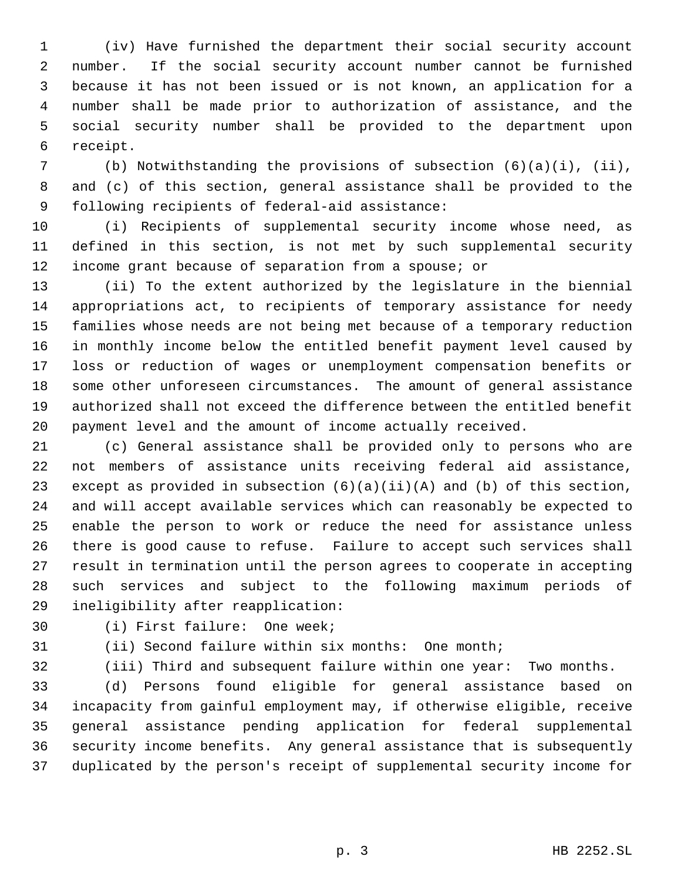(iv) Have furnished the department their social security account number. If the social security account number cannot be furnished because it has not been issued or is not known, an application for a number shall be made prior to authorization of assistance, and the social security number shall be provided to the department upon receipt.

 (b) Notwithstanding the provisions of subsection (6)(a)(i), (ii), and (c) of this section, general assistance shall be provided to the following recipients of federal-aid assistance:

 (i) Recipients of supplemental security income whose need, as defined in this section, is not met by such supplemental security income grant because of separation from a spouse; or

 (ii) To the extent authorized by the legislature in the biennial appropriations act, to recipients of temporary assistance for needy families whose needs are not being met because of a temporary reduction in monthly income below the entitled benefit payment level caused by loss or reduction of wages or unemployment compensation benefits or some other unforeseen circumstances. The amount of general assistance authorized shall not exceed the difference between the entitled benefit payment level and the amount of income actually received.

 (c) General assistance shall be provided only to persons who are not members of assistance units receiving federal aid assistance, 23 except as provided in subsection  $(6)(a)(ii)(A)$  and  $(b)$  of this section, and will accept available services which can reasonably be expected to enable the person to work or reduce the need for assistance unless there is good cause to refuse. Failure to accept such services shall result in termination until the person agrees to cooperate in accepting such services and subject to the following maximum periods of ineligibility after reapplication:

(i) First failure: One week;

(ii) Second failure within six months: One month;

(iii) Third and subsequent failure within one year: Two months.

 (d) Persons found eligible for general assistance based on incapacity from gainful employment may, if otherwise eligible, receive general assistance pending application for federal supplemental security income benefits. Any general assistance that is subsequently duplicated by the person's receipt of supplemental security income for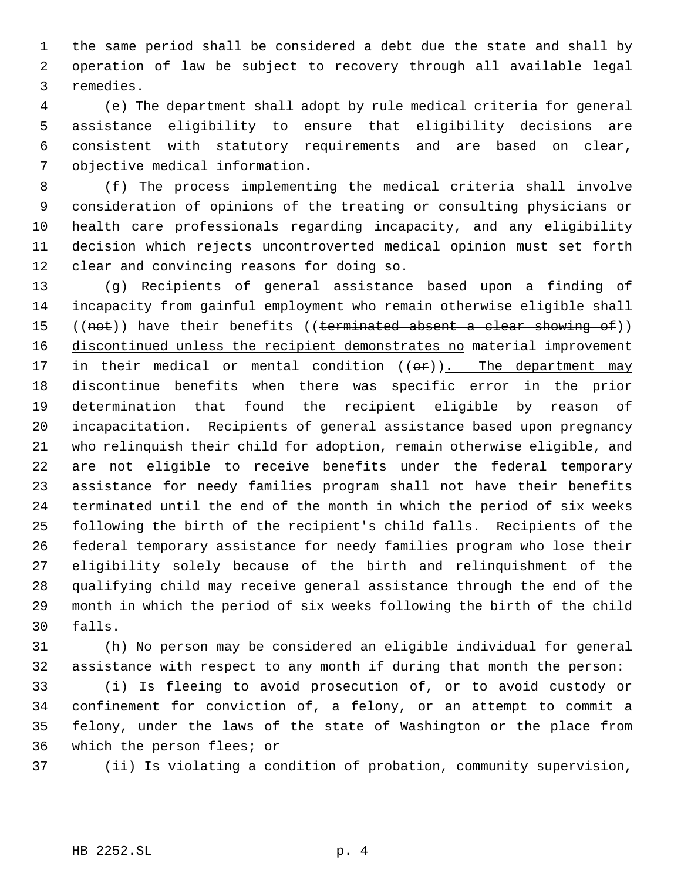the same period shall be considered a debt due the state and shall by operation of law be subject to recovery through all available legal remedies.

 (e) The department shall adopt by rule medical criteria for general assistance eligibility to ensure that eligibility decisions are consistent with statutory requirements and are based on clear, objective medical information.

 (f) The process implementing the medical criteria shall involve consideration of opinions of the treating or consulting physicians or health care professionals regarding incapacity, and any eligibility decision which rejects uncontroverted medical opinion must set forth clear and convincing reasons for doing so.

 (g) Recipients of general assistance based upon a finding of incapacity from gainful employment who remain otherwise eligible shall 15 ((not)) have their benefits ((terminated absent a clear showing of)) 16 discontinued unless the recipient demonstrates no material improvement 17 in their medical or mental condition  $((\theta \hat{r}))$ . The department may discontinue benefits when there was specific error in the prior determination that found the recipient eligible by reason of incapacitation. Recipients of general assistance based upon pregnancy who relinquish their child for adoption, remain otherwise eligible, and are not eligible to receive benefits under the federal temporary assistance for needy families program shall not have their benefits terminated until the end of the month in which the period of six weeks following the birth of the recipient's child falls. Recipients of the federal temporary assistance for needy families program who lose their eligibility solely because of the birth and relinquishment of the qualifying child may receive general assistance through the end of the month in which the period of six weeks following the birth of the child falls.

 (h) No person may be considered an eligible individual for general assistance with respect to any month if during that month the person:

 (i) Is fleeing to avoid prosecution of, or to avoid custody or confinement for conviction of, a felony, or an attempt to commit a felony, under the laws of the state of Washington or the place from which the person flees; or

(ii) Is violating a condition of probation, community supervision,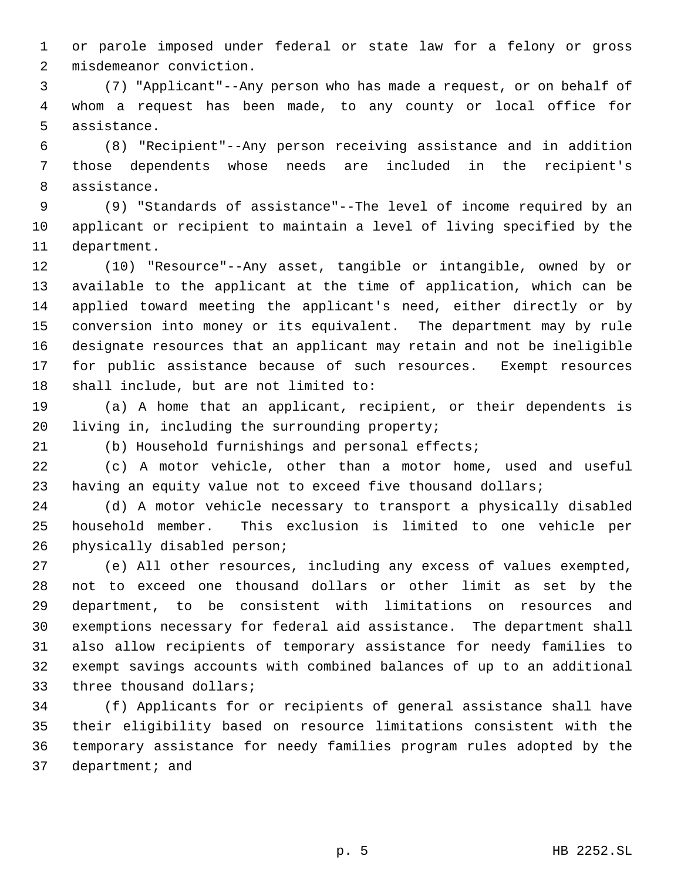or parole imposed under federal or state law for a felony or gross misdemeanor conviction.

 (7) "Applicant"--Any person who has made a request, or on behalf of whom a request has been made, to any county or local office for assistance.

 (8) "Recipient"--Any person receiving assistance and in addition those dependents whose needs are included in the recipient's assistance.

 (9) "Standards of assistance"--The level of income required by an applicant or recipient to maintain a level of living specified by the department.

 (10) "Resource"--Any asset, tangible or intangible, owned by or available to the applicant at the time of application, which can be applied toward meeting the applicant's need, either directly or by conversion into money or its equivalent. The department may by rule designate resources that an applicant may retain and not be ineligible for public assistance because of such resources. Exempt resources shall include, but are not limited to:

 (a) A home that an applicant, recipient, or their dependents is living in, including the surrounding property;

(b) Household furnishings and personal effects;

 (c) A motor vehicle, other than a motor home, used and useful having an equity value not to exceed five thousand dollars;

 (d) A motor vehicle necessary to transport a physically disabled household member. This exclusion is limited to one vehicle per physically disabled person;

 (e) All other resources, including any excess of values exempted, not to exceed one thousand dollars or other limit as set by the department, to be consistent with limitations on resources and exemptions necessary for federal aid assistance. The department shall also allow recipients of temporary assistance for needy families to exempt savings accounts with combined balances of up to an additional three thousand dollars;

 (f) Applicants for or recipients of general assistance shall have their eligibility based on resource limitations consistent with the temporary assistance for needy families program rules adopted by the department; and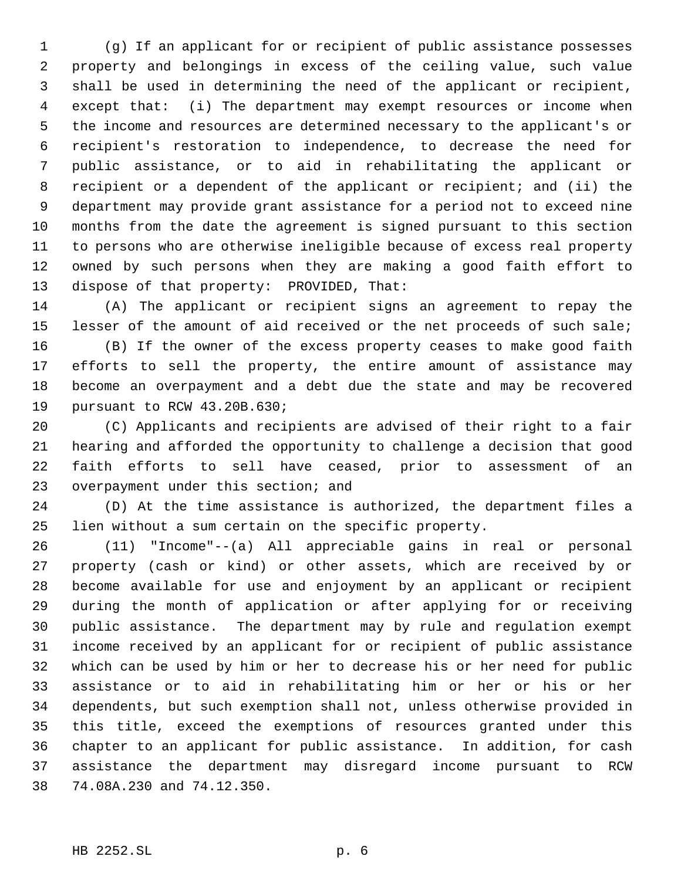(g) If an applicant for or recipient of public assistance possesses property and belongings in excess of the ceiling value, such value shall be used in determining the need of the applicant or recipient, except that: (i) The department may exempt resources or income when the income and resources are determined necessary to the applicant's or recipient's restoration to independence, to decrease the need for public assistance, or to aid in rehabilitating the applicant or recipient or a dependent of the applicant or recipient; and (ii) the department may provide grant assistance for a period not to exceed nine months from the date the agreement is signed pursuant to this section to persons who are otherwise ineligible because of excess real property owned by such persons when they are making a good faith effort to dispose of that property: PROVIDED, That:

 (A) The applicant or recipient signs an agreement to repay the lesser of the amount of aid received or the net proceeds of such sale; (B) If the owner of the excess property ceases to make good faith efforts to sell the property, the entire amount of assistance may become an overpayment and a debt due the state and may be recovered pursuant to RCW 43.20B.630;

 (C) Applicants and recipients are advised of their right to a fair hearing and afforded the opportunity to challenge a decision that good faith efforts to sell have ceased, prior to assessment of an overpayment under this section; and

 (D) At the time assistance is authorized, the department files a lien without a sum certain on the specific property.

 (11) "Income"--(a) All appreciable gains in real or personal property (cash or kind) or other assets, which are received by or become available for use and enjoyment by an applicant or recipient during the month of application or after applying for or receiving public assistance. The department may by rule and regulation exempt income received by an applicant for or recipient of public assistance which can be used by him or her to decrease his or her need for public assistance or to aid in rehabilitating him or her or his or her dependents, but such exemption shall not, unless otherwise provided in this title, exceed the exemptions of resources granted under this chapter to an applicant for public assistance. In addition, for cash assistance the department may disregard income pursuant to RCW 74.08A.230 and 74.12.350.